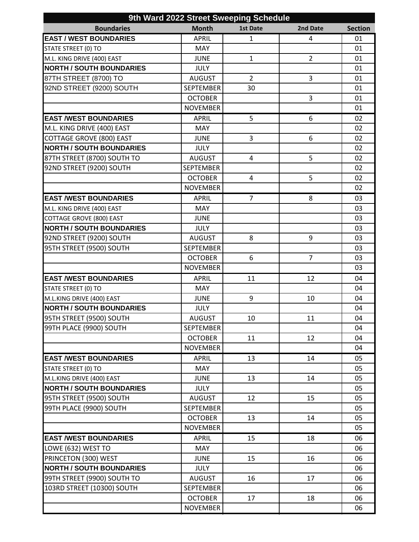| 9th Ward 2022 Street Sweeping Schedule |                  |                 |                |                |  |
|----------------------------------------|------------------|-----------------|----------------|----------------|--|
| <b>Boundaries</b>                      | <b>Month</b>     | <b>1st Date</b> | 2nd Date       | <b>Section</b> |  |
| <b>EAST / WEST BOUNDARIES</b>          | <b>APRIL</b>     | $\mathbf{1}$    | 4              | 01             |  |
| STATE STREET (0) TO                    | <b>MAY</b>       |                 |                | 01             |  |
| M.L. KING DRIVE (400) EAST             | <b>JUNE</b>      | $\mathbf{1}$    | $\overline{2}$ | 01             |  |
| <b>NORTH / SOUTH BOUNDARIES</b>        | <b>JULY</b>      |                 |                | 01             |  |
| 87TH STREET (8700) TO                  | <b>AUGUST</b>    | $\overline{2}$  | 3              | 01             |  |
| 92ND STREET (9200) SOUTH               | <b>SEPTEMBER</b> | 30              |                | 01             |  |
|                                        | <b>OCTOBER</b>   |                 | 3              | 01             |  |
|                                        | <b>NOVEMBER</b>  |                 |                | 01             |  |
| <b>EAST /WEST BOUNDARIES</b>           | <b>APRIL</b>     | 5               | 6              | 02             |  |
| M.L. KING DRIVE (400) EAST             | MAY              |                 |                | 02             |  |
| <b>COTTAGE GROVE (800) EAST</b>        | <b>JUNE</b>      | 3               | 6              | 02             |  |
| <b>NORTH / SOUTH BOUNDARIES</b>        | <b>JULY</b>      |                 |                | 02             |  |
| 87TH STREET (8700) SOUTH TO            | <b>AUGUST</b>    | 4               | 5              | 02             |  |
| 92ND STREET (9200) SOUTH               | <b>SEPTEMBER</b> |                 |                | 02             |  |
|                                        | <b>OCTOBER</b>   | 4               | 5              | 02             |  |
|                                        | <b>NOVEMBER</b>  |                 |                | 02             |  |
| <b>EAST /WEST BOUNDARIES</b>           | <b>APRIL</b>     | 7               | 8              | 03             |  |
| M.L. KING DRIVE (400) EAST             | <b>MAY</b>       |                 |                | 03             |  |
| <b>COTTAGE GROVE (800) EAST</b>        | <b>JUNE</b>      |                 |                | 03             |  |
| <b>NORTH / SOUTH BOUNDARIES</b>        | <b>JULY</b>      |                 |                | 03             |  |
| 92ND STREET (9200) SOUTH               | <b>AUGUST</b>    | 8               | 9              | 03             |  |
| 95TH STREET (9500) SOUTH               | <b>SEPTEMBER</b> |                 |                | 03             |  |
|                                        | <b>OCTOBER</b>   | 6               | $\overline{7}$ | 03             |  |
|                                        | <b>NOVEMBER</b>  |                 |                | 03             |  |
| <b>EAST /WEST BOUNDARIES</b>           | <b>APRIL</b>     | 11              | 12             | 04             |  |
| STATE STREET (0) TO                    | <b>MAY</b>       |                 |                | 04             |  |
| M.L.KING DRIVE (400) EAST              | <b>JUNE</b>      | 9               | 10             | 04             |  |
| <b>NORTH / SOUTH BOUNDARIES</b>        | <b>JULY</b>      |                 |                | 04             |  |
| 95TH STREET (9500) SOUTH               | AUGUST           | 10              | 11             | 04             |  |
| 99TH PLACE (9900) SOUTH                | <b>SEPTEMBER</b> |                 |                | 04             |  |
|                                        | <b>OCTOBER</b>   | 11              | 12             | 04             |  |
|                                        | <b>NOVEMBER</b>  |                 |                | 04             |  |
| <b>EAST /WEST BOUNDARIES</b>           | <b>APRIL</b>     | 13              | 14             | 05             |  |
| STATE STREET (0) TO                    | <b>MAY</b>       |                 |                | 05             |  |
| M.L.KING DRIVE (400) EAST              | <b>JUNE</b>      | 13              | 14             | 05             |  |
| <b>NORTH / SOUTH BOUNDARIES</b>        | <b>JULY</b>      |                 |                | 05             |  |
| 95TH STREET (9500) SOUTH               | <b>AUGUST</b>    | 12              | 15             | 05             |  |
| 99TH PLACE (9900) SOUTH                | <b>SEPTEMBER</b> |                 |                | 05             |  |
|                                        | <b>OCTOBER</b>   | 13              | 14             | 05             |  |
|                                        | <b>NOVEMBER</b>  |                 |                | 05             |  |
| <b>EAST /WEST BOUNDARIES</b>           | <b>APRIL</b>     | 15              | 18             | 06             |  |
| LOWE (632) WEST TO                     | <b>MAY</b>       |                 |                | 06             |  |
| PRINCETON (300) WEST                   | <b>JUNE</b>      | 15              | 16             | 06             |  |
| <b>NORTH / SOUTH BOUNDARIES</b>        | <b>JULY</b>      |                 |                | 06             |  |
| 99TH STREET (9900) SOUTH TO            | <b>AUGUST</b>    | 16              | 17             | 06             |  |
| 103RD STREET (10300) SOUTH             | <b>SEPTEMBER</b> |                 |                | 06             |  |
|                                        | <b>OCTOBER</b>   | 17              | 18             | 06             |  |
|                                        | <b>NOVEMBER</b>  |                 |                | 06             |  |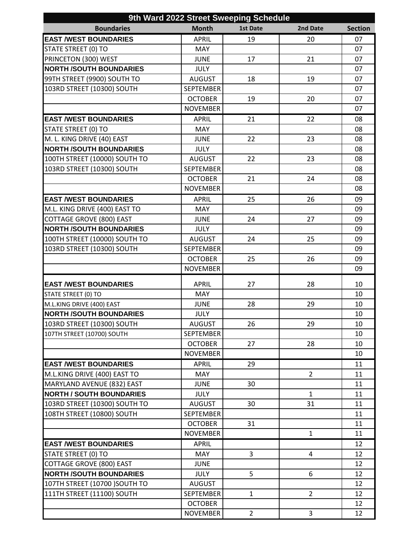| 9th Ward 2022 Street Sweeping Schedule                            |                                    |                 |                |                |  |
|-------------------------------------------------------------------|------------------------------------|-----------------|----------------|----------------|--|
| <b>Boundaries</b>                                                 | <b>Month</b>                       | <b>1st Date</b> | 2nd Date       | <b>Section</b> |  |
| <b>EAST /WEST BOUNDARIES</b>                                      | <b>APRIL</b>                       | 19              | 20             | 07             |  |
| STATE STREET (0) TO                                               | <b>MAY</b>                         |                 |                | 07             |  |
| PRINCETON (300) WEST                                              | <b>JUNE</b>                        | 17              | 21             | 07             |  |
| <b>NORTH /SOUTH BOUNDARIES</b>                                    | <b>JULY</b>                        |                 |                | 07             |  |
| 99TH STREET (9900) SOUTH TO                                       | <b>AUGUST</b>                      | 18              | 19             | 07             |  |
| 103RD STREET (10300) SOUTH                                        | <b>SEPTEMBER</b>                   |                 |                | 07             |  |
|                                                                   | <b>OCTOBER</b>                     | 19              | 20             | 07             |  |
|                                                                   | <b>NOVEMBER</b>                    |                 |                | 07             |  |
| <b>EAST /WEST BOUNDARIES</b>                                      | <b>APRIL</b>                       | 21              | 22             | 08             |  |
| STATE STREET (0) TO                                               | <b>MAY</b>                         |                 |                | 08             |  |
| M. L. KING DRIVE (40) EAST                                        | <b>JUNE</b>                        | 22              | 23             | 08             |  |
| <b>NORTH /SOUTH BOUNDARIES</b>                                    | <b>JULY</b>                        |                 |                | 08             |  |
| 100TH STREET (10000) SOUTH TO                                     | <b>AUGUST</b>                      | 22              | 23             | 08             |  |
| 103RD STREET (10300) SOUTH                                        | <b>SEPTEMBER</b>                   |                 |                | 08             |  |
|                                                                   | <b>OCTOBER</b>                     | 21              | 24             | 08             |  |
|                                                                   | <b>NOVEMBER</b>                    |                 |                | 08             |  |
| <b>EAST /WEST BOUNDARIES</b>                                      | <b>APRIL</b>                       | 25              | 26             | 09             |  |
| M.L. KING DRIVE (400) EAST TO                                     | <b>MAY</b>                         |                 |                | 09             |  |
| <b>COTTAGE GROVE (800) EAST</b>                                   | <b>JUNE</b>                        | 24              | 27             | 09             |  |
| <b>NORTH /SOUTH BOUNDARIES</b>                                    | <b>JULY</b>                        |                 |                | 09             |  |
| 100TH STREET (10000) SOUTH TO                                     | <b>AUGUST</b>                      | 24              | 25             | 09             |  |
| 103RD STREET (10300) SOUTH                                        | <b>SEPTEMBER</b>                   |                 |                | 09             |  |
|                                                                   | <b>OCTOBER</b>                     | 25              | 26             | 09             |  |
|                                                                   | <b>NOVEMBER</b>                    |                 |                | 09             |  |
| <b>EAST /WEST BOUNDARIES</b>                                      |                                    | 27              | 28             |                |  |
|                                                                   | <b>APRIL</b><br><b>MAY</b>         |                 |                | 10<br>10       |  |
| STATE STREET (0) TO<br>M.L.KING DRIVE (400) EAST                  | <b>JUNE</b>                        | 28              | 29             | 10             |  |
| <b>NORTH /SOUTH BOUNDARIES</b>                                    | <b>JULY</b>                        |                 |                | 10             |  |
| 103RD STREET (10300) SOUTH                                        |                                    | 26              | 29             | 10             |  |
| 107TH STREET (10700) SOUTH                                        | <b>AUGUST</b><br><b>SEPTEMBER</b>  |                 |                | 10             |  |
|                                                                   | <b>OCTOBER</b>                     | 27              | 28             | 10             |  |
|                                                                   | <b>NOVEMBER</b>                    |                 |                | 10             |  |
| <b>EAST /WEST BOUNDARIES</b>                                      |                                    | 29              |                | 11             |  |
| M.L.KING DRIVE (400) EAST TO                                      | <b>APRIL</b><br><b>MAY</b>         |                 | $\overline{2}$ |                |  |
|                                                                   |                                    |                 |                | 11             |  |
| MARYLAND AVENUE (832) EAST<br><b>NORTH / SOUTH BOUNDARIES</b>     | <b>JUNE</b><br><b>JULY</b>         | 30              | $\mathbf{1}$   | 11<br>11       |  |
| 103RD STREET (10300) SOUTH TO                                     | <b>AUGUST</b>                      | 30              | 31             | 11             |  |
| 108TH STREET (10800) SOUTH                                        | <b>SEPTEMBER</b>                   |                 |                | 11             |  |
|                                                                   | <b>OCTOBER</b>                     | 31              |                |                |  |
|                                                                   | <b>NOVEMBER</b>                    |                 | $\mathbf{1}$   | 11<br>11       |  |
| <b>EAST /WEST BOUNDARIES</b>                                      |                                    |                 |                |                |  |
|                                                                   | <b>APRIL</b><br><b>MAY</b>         | 3               | 4              | 12             |  |
| STATE STREET (0) TO                                               |                                    |                 |                | 12             |  |
| <b>COTTAGE GROVE (800) EAST</b><br><b>NORTH /SOUTH BOUNDARIES</b> | <b>JUNE</b><br><b>JULY</b>         | 5               | 6              | 12<br>12       |  |
|                                                                   |                                    |                 |                |                |  |
| 107TH STREET (10700) SOUTH TO                                     | <b>AUGUST</b>                      |                 |                | 12             |  |
| 111TH STREET (11100) SOUTH                                        | <b>SEPTEMBER</b><br><b>OCTOBER</b> | 1               | $\overline{2}$ | 12<br>12       |  |
|                                                                   |                                    |                 |                |                |  |
|                                                                   | <b>NOVEMBER</b>                    | $\overline{2}$  | 3              | 12             |  |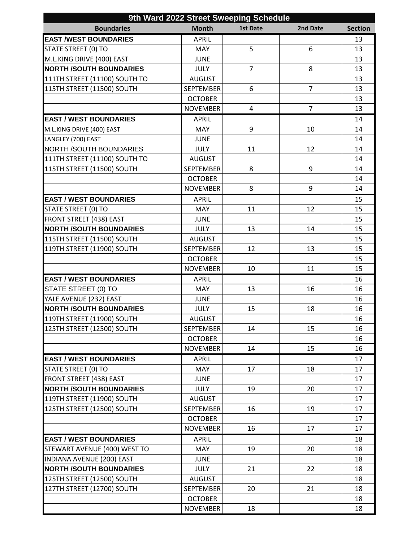| 9th Ward 2022 Street Sweeping Schedule |                  |                 |                |                |  |
|----------------------------------------|------------------|-----------------|----------------|----------------|--|
| <b>Boundaries</b>                      | <b>Month</b>     | <b>1st Date</b> | 2nd Date       | <b>Section</b> |  |
| <b>EAST /WEST BOUNDARIES</b>           | <b>APRIL</b>     |                 |                | 13             |  |
| STATE STREET (0) TO                    | <b>MAY</b>       | 5               | 6              | 13             |  |
| M.L.KING DRIVE (400) EAST              | <b>JUNE</b>      |                 |                | 13             |  |
| <b>NORTH /SOUTH BOUNDARIES</b>         | <b>JULY</b>      | $\overline{7}$  | 8              | 13             |  |
| 111TH STREET (11100) SOUTH TO          | <b>AUGUST</b>    |                 |                | 13             |  |
| 115TH STREET (11500) SOUTH             | <b>SEPTEMBER</b> | 6               | $\overline{7}$ | 13             |  |
|                                        | <b>OCTOBER</b>   |                 |                | 13             |  |
|                                        | <b>NOVEMBER</b>  | 4               | $\overline{7}$ | 13             |  |
| <b>EAST / WEST BOUNDARIES</b>          | <b>APRIL</b>     |                 |                | 14             |  |
| M.L.KING DRIVE (400) EAST              | <b>MAY</b>       | 9               | 10             | 14             |  |
| LANGLEY (700) EAST                     | <b>JUNE</b>      |                 |                | 14             |  |
| <b>NORTH /SOUTH BOUNDARIES</b>         | <b>JULY</b>      | 11              | 12             | 14             |  |
| 111TH STREET (11100) SOUTH TO          | <b>AUGUST</b>    |                 |                | 14             |  |
| 115TH STREET (11500) SOUTH             | <b>SEPTEMBER</b> | 8               | 9              | 14             |  |
|                                        | <b>OCTOBER</b>   |                 |                | 14             |  |
|                                        | <b>NOVEMBER</b>  | 8               | 9              | 14             |  |
| <b>EAST / WEST BOUNDARIES</b>          | <b>APRIL</b>     |                 |                | 15             |  |
| STATE STREET (0) TO                    | MAY              | 11              | 12             | 15             |  |
| <b>FRONT STREET (438) EAST</b>         | <b>JUNE</b>      |                 |                | 15             |  |
| <b>NORTH /SOUTH BOUNDARIES</b>         | <b>JULY</b>      | 13              | 14             | 15             |  |
| 115TH STREET (11500) SOUTH             | <b>AUGUST</b>    |                 |                | 15             |  |
| 119TH STREET (11900) SOUTH             | <b>SEPTEMBER</b> | 12              | 13             | 15             |  |
|                                        | <b>OCTOBER</b>   |                 |                | 15             |  |
|                                        | <b>NOVEMBER</b>  | 10              | 11             | 15             |  |
| <b>EAST / WEST BOUNDARIES</b>          | <b>APRIL</b>     |                 |                | 16             |  |
| STATE STREET (0) TO                    | <b>MAY</b>       | 13              | 16             | 16             |  |
| YALE AVENUE (232) EAST                 | <b>JUNE</b>      |                 |                | 16             |  |
| <b>NORTH /SOUTH BOUNDARIES</b>         | <b>JULY</b>      | 15              | 18             | 16             |  |
| 119TH STREET (11900) SOUTH             | <b>AUGUST</b>    |                 |                | 16             |  |
| 125TH STREET (12500) SOUTH             | SEPTEMBER        | 14              | 15             | 16             |  |
|                                        | <b>OCTOBER</b>   |                 |                | 16             |  |
|                                        | <b>NOVEMBER</b>  | 14              | 15             | 16             |  |
| <b>EAST / WEST BOUNDARIES</b>          | <b>APRIL</b>     |                 |                | 17             |  |
| STATE STREET (0) TO                    | <b>MAY</b>       | 17              | 18             | 17             |  |
| FRONT STREET (438) EAST                | <b>JUNE</b>      |                 |                | 17             |  |
| <b>NORTH /SOUTH BOUNDARIES</b>         | <b>JULY</b>      | 19              | 20             | 17             |  |
| 119TH STREET (11900) SOUTH             | <b>AUGUST</b>    |                 |                | 17             |  |
| 125TH STREET (12500) SOUTH             | <b>SEPTEMBER</b> | 16              | 19             | 17             |  |
|                                        | <b>OCTOBER</b>   |                 |                | 17             |  |
|                                        | <b>NOVEMBER</b>  | 16              | 17             | 17             |  |
| <b>EAST / WEST BOUNDARIES</b>          | <b>APRIL</b>     |                 |                | 18             |  |
| STEWART AVENUE (400) WEST TO           | <b>MAY</b>       | 19              | 20             | 18             |  |
| INDIANA AVENUE (200) EAST              | <b>JUNE</b>      |                 |                | 18             |  |
| <b>NORTH /SOUTH BOUNDARIES</b>         | <b>JULY</b>      | 21              | 22             | 18             |  |
| 125TH STREET (12500) SOUTH             | <b>AUGUST</b>    |                 |                | 18             |  |
| 127TH STREET (12700) SOUTH             | <b>SEPTEMBER</b> | 20              | 21             | 18             |  |
|                                        | <b>OCTOBER</b>   |                 |                | 18             |  |
|                                        | <b>NOVEMBER</b>  | 18              |                | 18             |  |